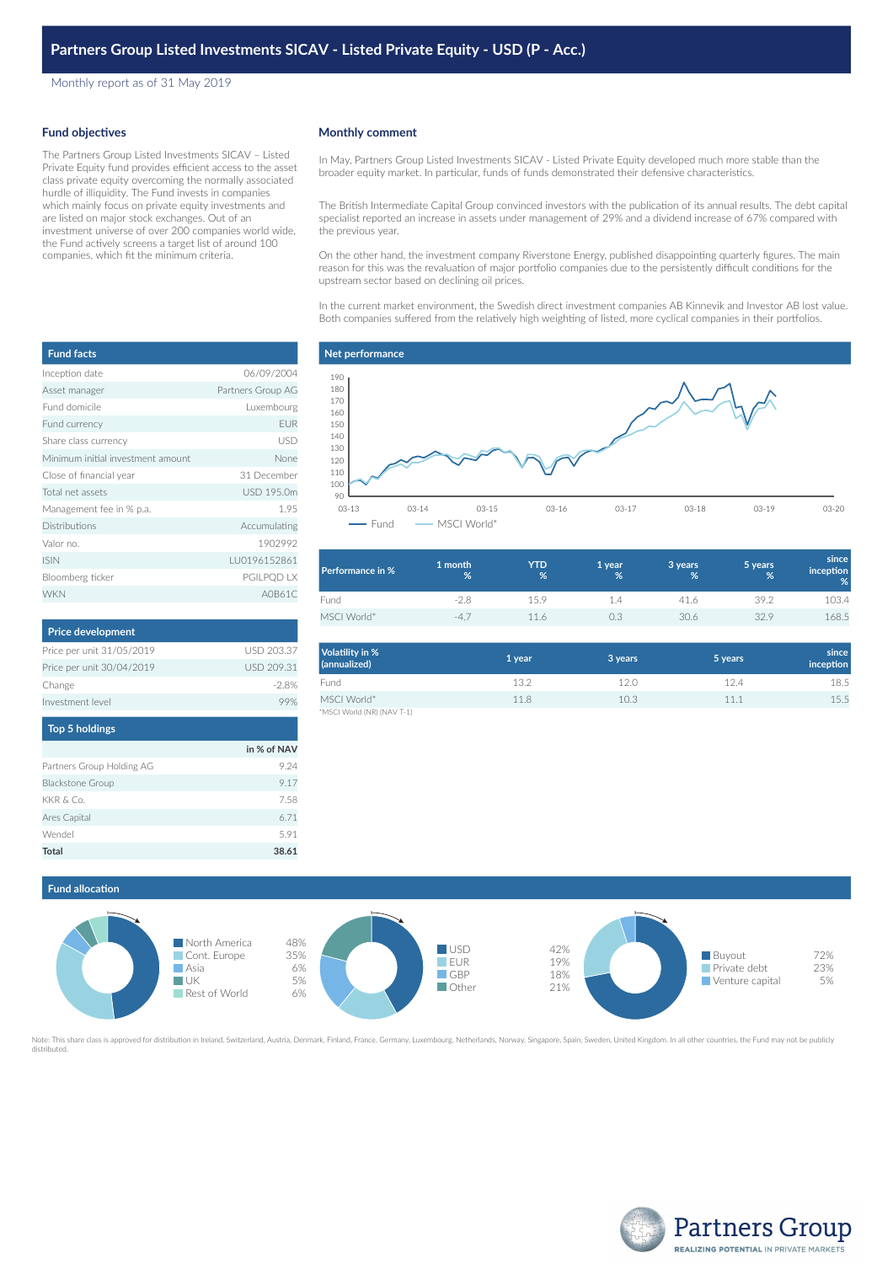Monthly report as of 31 May 2019

## **Fund objectives**

**Fund facts**

The Partners Group Listed Investments SICAV – Listed Private Equity fund provides efficient access to the asset class private equity overcoming the normally associated hurdle of illiquidity. The Fund invests in companies which mainly focus on private equity investments and are listed on major stock exchanges. Out of an investment universe of over 200 companies world wide, the Fund actively screens a target list of around 100 companies, which fit the minimum criteria.

|  | <b>Monthly comment</b> |
|--|------------------------|
|--|------------------------|

In May, Partners Group Listed Investments SICAV - Listed Private Equity developed much more stable than the broader equity market. In particular, funds of funds demonstrated their defensive characteristics.

The British Intermediate Capital Group convinced investors with the publication of its annual results. The debt capital specialist reported an increase in assets under management of 29% and a dividend increase of 67% compared with the previous year.

On the other hand, the investment company Riverstone Energy, published disappointing quarterly figures. The main reason for this was the revaluation of major portfolio companies due to the persistently difficult conditions for the upstream sector based on declining oil prices.

In the current market environment, the Swedish direct investment companies AB Kinnevik and Investor AB lost value. Both companies suffered from the relatively high weighting of listed, more cyclical companies in their portfolios.

# **Net performance**



| Performance in % | 1 month<br>% | <b>YTD</b><br>% | '1 year ,<br>% | 3 years<br>% | 5 years<br>% | since<br>inception<br>% |
|------------------|--------------|-----------------|----------------|--------------|--------------|-------------------------|
| Fund             | $-2.8$       | 15.9            | 1.4            | 41.6         | 39.2         | 103.4                   |
| MSCI World*      | $-4.7$       | 116             | 0.3            | 30.6         | 32.9         | 168.5                   |

| Volatility in %<br>(annualized) | 1 year | 3 years | 5 years | since<br><i>inception</i> |
|---------------------------------|--------|---------|---------|---------------------------|
| Fund                            | 13.2   | 12.0    | 12.4    | 18.5                      |
| MSCI World*                     | 118    | 10.3    | 11.1    | 15.5                      |
| *MSCI World (NR) (NAV T-1)      |        |         |         |                           |

| Asset manager                     | Partners Group AG |
|-----------------------------------|-------------------|
| Fund domicile                     | Luxembourg        |
| Fund currency                     | <b>EUR</b>        |
| Share class currency              | <b>USD</b>        |
| Minimum initial investment amount | None              |
| Close of financial year           | 31 December       |
| Total net assets                  | USD 195.0m        |
| Management fee in % p.a.          | 1.95              |
| <b>Distributions</b>              | Accumulating      |
| Valor no.                         | 1902992           |
| <b>ISIN</b>                       | LU0196152861      |
| Bloomberg ticker                  | PGILPQD LX        |
| <b>WKN</b>                        | A0B61C            |
|                                   |                   |

Inception date 06/09/2004

| <b>Price development</b>  |            |
|---------------------------|------------|
| Price per unit 31/05/2019 | USD 203.37 |
| Price per unit 30/04/2019 | USD 209.31 |
| Change                    | $-28%$     |
| Investment level          |            |
|                           |            |

| <b>Top 5 holdings</b>     |             |
|---------------------------|-------------|
|                           | in % of NAV |
| Partners Group Holding AG | 9.24        |
| <b>Blackstone Group</b>   | 917         |
| KKR & Co.                 | 7.58        |
| Ares Capital              | 6.71        |
| Wendel                    | 5.91        |
| Total                     | 38.61       |



Note: This share class is approved for distribution in Ireland, Switzerland, Austria, Denmark, Finland, France, Germany, Luxembourg, Netherlands, Norway, Singapore, Spain, Sweden, United Kingdom. In all other countries, th distributed



| sset manager                     | Partners Group AG |
|----------------------------------|-------------------|
| und domicile                     | Luxembourg        |
| und currency                     | EUR               |
| hare class currency              | <b>USD</b>        |
| inimum initial investment amount | None              |
| lose of financial year           | 31 December       |
| otal net assets                  | USD 195.0m        |
| 1anagement fee in % p.a.         | 1.95              |
| istributions                     | Accumulating      |
| alor no.                         | 1902992           |
| 5IN                              | LU0196152861      |